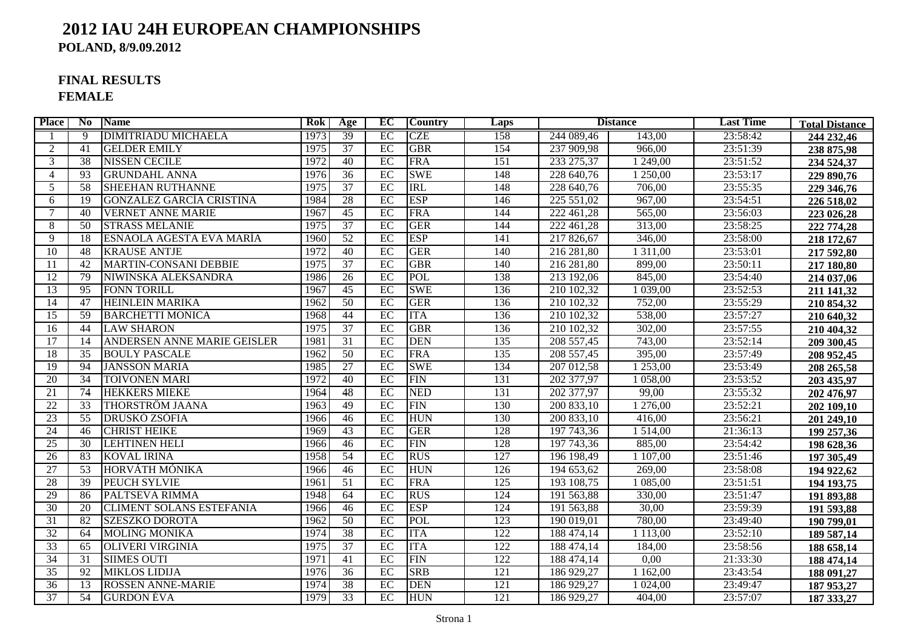### **2012 IAU 24H EUROPEAN CHAMPIONSHIPSPOLAND, 8/9.09.2012**

## **FINAL RESULTS**

**FEMALE**

| <b>Place</b>    | No.             | <b>Name</b>                        | Rok  | Age             | EC              | <b>Country</b> | Laps             |            | <b>Distance</b> | <b>Last Time</b> | <b>Total Distance</b> |
|-----------------|-----------------|------------------------------------|------|-----------------|-----------------|----------------|------------------|------------|-----------------|------------------|-----------------------|
|                 | $\overline{9}$  | <b>DIMITRIADU MICHAELA</b>         | 1973 | 39              | EC              | <b>CZE</b>     | 158              | 244 089,46 | 143,00          | 23:58:42         | 244 232,46            |
| 2               | 41              | <b>GELDER EMILY</b>                | 1975 | 37              | EC              | <b>GBR</b>     | 154              | 237 909,98 | 966,00          | 23:51:39         | 238 875,98            |
| 3               | 38              | <b>NISSEN CECILE</b>               | 1972 | 40              | EC              | <b>FRA</b>     | 151              | 233 275,37 | 1 249,00        | 23:51:52         | 234 524,37            |
| $\overline{4}$  | 93              | <b>GRUNDAHL ANNA</b>               | 1976 | 36              | EC              | <b>SWE</b>     | 148              | 228 640,76 | 1 250,00        | 23:53:17         | 229 890,76            |
| 5               | $\overline{58}$ | <b>SHEEHAN RUTHANNE</b>            | 1975 | 37              | EC              | <b>IRL</b>     | 148              | 228 640,76 | 706,00          | 23:55:35         | 229 346,76            |
| 6               | 19              | GONZALEZ GARCÍA CRISTINA           | 1984 | 28              | EC              | <b>ESP</b>     | 146              | 225 551,02 | 967,00          | 23:54:51         | 226 518,02            |
| 7               | 40              | <b>VERNET ANNE MARIE</b>           | 1967 | 45              | EC              | <b>FRA</b>     | 144              | 222 461,28 | 565,00          | 23:56:03         | 223 026,28            |
| 8               | 50              | <b>STRASS MELANIE</b>              | 1975 | 37              | EC              | <b>GER</b>     | 144              | 222 461,28 | 313,00          | 23:58:25         | 222 774,28            |
| 9               | 18              | ESNAOLA AGESTA EVA MARÍA           | 1960 | 52              | EC              | <b>ESP</b>     | 141              | 217 826,67 | 346,00          | 23:58:00         | 218 172,67            |
| 10              | 48              | <b>KRAUSE ANTJE</b>                | 1972 | 40              | $\overline{EC}$ | <b>GER</b>     | 140              | 216 281,80 | 1 3 1 1 ,00     | 23:53:01         | 217 592,80            |
| 11              | 42              | MARTIN-CONSANI DEBBIE              | 1975 | $\overline{37}$ | EC              | <b>GBR</b>     | 140              | 216 281,80 | 899,00          | 23:50:11         | 217 180,80            |
| $\overline{12}$ | 79              | NIWIŃSKA ALEKSANDRA                | 1986 | $\overline{26}$ | EC              | <b>POL</b>     | 138              | 213 192,06 | 845,00          | 23:54:40         | 214 037,06            |
| 13              | 95              | <b>FONN TORILL</b>                 | 1967 | $\overline{45}$ | EC              | <b>SWE</b>     | 136              | 210 102,32 | 1 039,00        | 23:52:53         | 211 141,32            |
| 14              | 47              | <b>HEINLEIN MARIKA</b>             | 1962 | $\overline{50}$ | EC              | <b>GER</b>     | 136              | 210 102,32 | 752,00          | 23:55:29         | 210 854,32            |
| $\overline{15}$ | 59              | <b>BARCHETTI MONICA</b>            | 1968 | 44              | EC              | <b>ITA</b>     | 136              | 210 102,32 | 538,00          | 23:57:27         | 210 640,32            |
| 16              | 44              | <b>LAW SHARON</b>                  | 1975 | 37              | $\overline{EC}$ | <b>GBR</b>     | 136              | 210 102,32 | 302,00          | 23:57:55         | 210 404,32            |
| 17              | 14              | <b>ANDERSEN ANNE MARIE GEISLER</b> | 1981 | $\overline{31}$ | EC              | <b>DEN</b>     | 135              | 208 557,45 | 743,00          | 23:52:14         | 209 300,45            |
| 18              | $\overline{35}$ | <b>BOULY PASCALE</b>               | 1962 | 50              | EC              | <b>FRA</b>     | 135              | 208 557,45 | 395,00          | 23:57:49         | 208 952,45            |
| $\overline{19}$ | 94              | <b>JANSSON MARIA</b>               | 1985 | 27              | EC              | <b>SWE</b>     | 134              | 207 012,58 | 1 253,00        | 23:53:49         | 208 265,58            |
| 20              | 34              | <b>TOIVONEN MARI</b>               | 1972 | 40              | EC              | FIN            | 131              | 202 377,97 | 1 058,00        | 23:53:52         | 203 435,97            |
| $\overline{21}$ | 74              | <b>HEKKERS MIEKE</b>               | 1964 | 48              | EC              | <b>NED</b>     | 131              | 202 377,97 | 99,00           | 23:55:32         | 202 476,97            |
| $\overline{22}$ | $\overline{33}$ | <b>THORSTRÖM JAANA</b>             | 1963 | 49              | EC              | <b>FIN</b>     | 130              | 200 833,10 | 1 276,00        | 23:52:21         | 202 109,10            |
| 23              | $\overline{55}$ | <b>DRUSKÓ ZSÓFIA</b>               | 1966 | 46              | EC              | <b>HUN</b>     | 130              | 200 833,10 | 416,00          | 23:56:21         | 201 249,10            |
| 24              | 46              | <b>CHRIST HEIKE</b>                | 1969 | 43              | EC              | <b>GER</b>     | 128              | 197 743,36 | 1 5 1 4 ,00     | 21:36:13         | 199 257,36            |
| 25              | $\overline{30}$ | <b>LEHTINEN HELI</b>               | 1966 | $\overline{46}$ | EC              | <b>FIN</b>     | $\overline{128}$ | 197 743,36 | 885,00          | 23:54:42         | 198 628,36            |
| $\overline{26}$ | 83              | <b>KOVAL IRINA</b>                 | 1958 | 54              | EC              | <b>RUS</b>     | $\overline{127}$ | 196 198,49 | 1 107,00        | 23:51:46         | 197 305,49            |
| $\overline{27}$ | $\overline{53}$ | HORVÁTH MÓNIKA                     | 1966 | 46              | $\overline{EC}$ | <b>HUN</b>     | 126              | 194 653,62 | 269,00          | 23:58:08         | 194 922,62            |
| 28              | 39              | <b>PEUCH SYLVIE</b>                | 1961 | $\overline{51}$ | EC              | <b>FRA</b>     | 125              | 193 108,75 | 1 085,00        | 23:51:51         | 194 193,75            |
| 29              | 86              | PALTSEVA RIMMA                     | 1948 | 64              | EC              | <b>RUS</b>     | $\overline{124}$ | 191 563,88 | 330,00          | 23:51:47         | 191 893,88            |
| $\overline{30}$ | 20              | <b>CLIMENT SOLANS ESTEFANIA</b>    | 1966 | 46              | $\overline{EC}$ | <b>ESP</b>     | $\overline{124}$ | 191 563,88 | 30,00           | 23:59:39         | 191 593,88            |
| $\overline{31}$ | 82              | <b>SZESZKO DOROTA</b>              | 1962 | 50              | EC              | <b>POL</b>     | $\overline{123}$ | 190 019,01 | 780,00          | 23:49:40         | 190 799,01            |
| 32              | 64              | <b>MOLING MONIKA</b>               | 1974 | 38              | EC              | <b>ITA</b>     | 122              | 188 474,14 | 1 1 1 3 0 0     | 23:52:10         | 189 587,14            |
| 33              | 65              | <b>OLIVERI VIRGINIA</b>            | 1975 | $\overline{37}$ | EC              | <b>ITA</b>     | 122              | 188 474,14 | 184,00          | 23:58:56         | 188 658,14            |
| 34              | $\overline{31}$ | <b>SIIMES OUTI</b>                 | 1971 | 41              | EC              | <b>FIN</b>     | $\overline{122}$ | 188 474,14 | 0,00            | 21:33:30         | 188 474,14            |
| 35              | 92              | <b>MIKLOS LIDIJA</b>               | 1976 | 36              | EC              | <b>SRB</b>     | 121              | 186 929,27 | 1 1 6 2,00      | 23:43:54         | 188 091,27            |
| $\overline{36}$ | 13              | <b>ROSSEN ANNE-MARIE</b>           | 1974 | 38              | EC              | <b>DEN</b>     | $\overline{121}$ | 186 929,27 | 1 024,00        | 23:49:47         | 187 953,27            |
| 37              | 54              | <b>GURDON ÉVA</b>                  | 1979 | 33              | EC              | <b>HUN</b>     | 121              | 186 929,27 | 404,00          | 23:57:07         | 187 333,27            |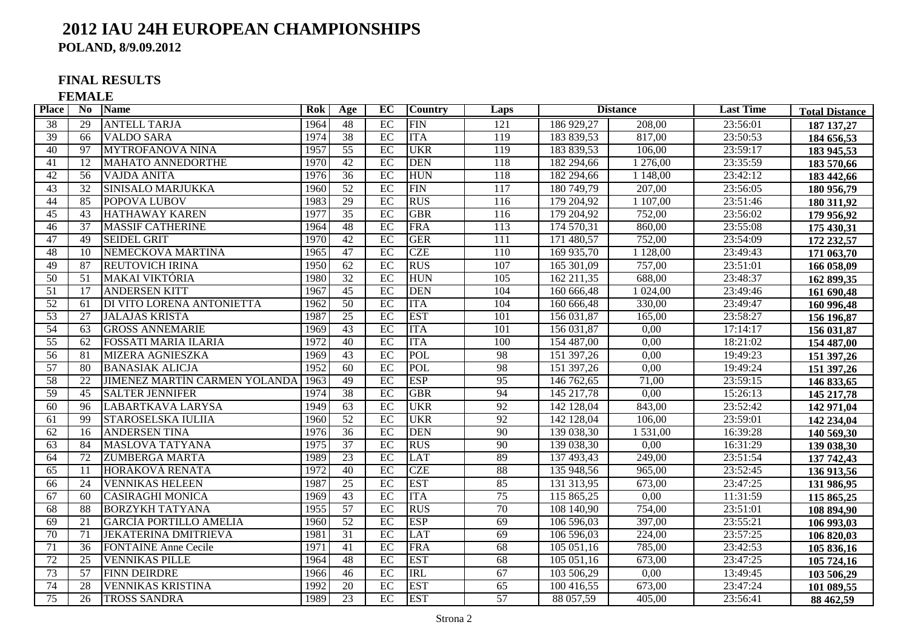## **2012 IAU 24H EUROPEAN CHAMPIONSHIPS**

**POLAND, 8/9.09.2012**

#### **FINAL RESULTS**

**FEMALE**

| Place           | No.             | <b>Name</b>                          | Rok  | Age             | EC              | <b>Country</b> | Laps              | <b>Distance</b>         |           | <b>Last Time</b> | <b>Total Distance</b> |
|-----------------|-----------------|--------------------------------------|------|-----------------|-----------------|----------------|-------------------|-------------------------|-----------|------------------|-----------------------|
| $\overline{38}$ | 29              | <b>ANTELL TARJA</b>                  | 1964 | 48              | EC              | FIN            | 121               | 186 929,27              | 208,00    | 23:56:01         | 187 137,27            |
| 39              | 66              | <b>VALDO SARA</b>                    | 1974 | 38              | EC              | <b>ITA</b>     | 119               | 183 839,53              | 817,00    | 23:50:53         | 184 656,53            |
| $\overline{40}$ | 97              | <b>MYTROFANOVA NINA</b>              | 1957 | $\overline{55}$ | $\overline{EC}$ | <b>UKR</b>     | 119               | 183 839,53              | 106,00    | 23:59:17         | 183 945,53            |
| 41              | $\overline{12}$ | <b>MAHATO ANNEDORTHE</b>             | 1970 | 42              | EC              | <b>DEN</b>     | 118               | 182 294,66              | 1 276,00  | 23:35:59         | 183 570,66            |
| 42              | 56              | <b>VAJDA ANITA</b>                   | 1976 | 36              | EC              | <b>HUN</b>     | 118               | 182 294,66              | 1 148,00  | 23:42:12         | 183 442,66            |
| 43              | 32              | SINISALO MARJUKKA                    | 1960 | $\overline{52}$ | EC              | <b>FIN</b>     | 117               | 180 749,79              | 207,00    | 23:56:05         | 180 956,79            |
| 44              | 85              | POPOVA LUBOV                         | 1983 | 29              | EC              | <b>RUS</b>     | $\frac{116}{116}$ | 179 204,92              | 1 107,00  | 23:51:46         | 180 311,92            |
| $\overline{45}$ | 43              | <b>HATHAWAY KAREN</b>                | 1977 | $\overline{35}$ | EC              | <b>GBR</b>     | $\frac{116}{116}$ | 179 204,92              | 752,00    | 23:56:02         | 179 956,92            |
| 46              | $\overline{37}$ | <b>MASSIF CATHERINE</b>              | 1964 | 48              | EC              | <b>FRA</b>     | 113               | 174 570,31              | 860,00    | 23:55:08         | 175 430,31            |
| 47              | 49              | <b>SEIDEL GRIT</b>                   | 1970 | 42              | EC              | <b>GER</b>     | 111               | 171 480,57              | 752,00    | 23:54:09         | 172 232,57            |
| 48              | $\overline{10}$ | NEMECKOVA MARTINA                    | 1965 | 47              | EC              | <b>CZE</b>     | 110               | 169 935,70              | 1 1 28,00 | 23:49:43         | 171 063,70            |
| 49              | 87              | <b>REUTOVICH IRINA</b>               | 1950 | $\overline{62}$ | EC              | <b>RUS</b>     | 107               | 165 301,09              | 757,00    | 23:51:01         | 166 058,09            |
| $\overline{50}$ | $\overline{51}$ | <b>MAKAI VIKTÓRIA</b>                | 1980 | 32              | EC              | <b>HUN</b>     | $\overline{105}$  | 162 211,35              | 688,00    | 23:48:37         | 162 899,35            |
| 51              | 17              | <b>ANDERSEN KITT</b>                 | 1967 | $\overline{45}$ | EC              | <b>DEN</b>     | 104               | 160 666,48              | 1 0 24,00 | 23:49:46         | 161 690,48            |
| $\overline{52}$ | 61              | DI VITO LORENA ANTONIETTA            | 1962 | $\overline{50}$ | EC              | <b>ITA</b>     | 104               | 160 666,48              | 330,00    | 23:49:47         | 160 996,48            |
| $\overline{53}$ | 27              | <b>JALAJAS KRISTA</b>                | 1987 | $\overline{25}$ | EC              | <b>EST</b>     | 101               | 156 031,87              | 165,00    | 23:58:27         | 156 196,87            |
| 54              | 63              | <b>GROSS ANNEMARIE</b>               | 1969 | 43              | EC              | <b>ITA</b>     | 101               | 156 031,87              | 0,00      | 17:14:17         | 156 031,87            |
| 55              | 62              | <b>FOSSATI MARIA ILARIA</b>          | 1972 | 40              | EC              | <b>ITA</b>     | 100               | 154 487,00              | 0,00      | 18:21:02         | 154 487,00            |
| $\overline{56}$ | 81              | <b>MIZERA AGNIESZKA</b>              | 1969 | 43              | EC              | POL            | 98                | 151 397,26              | 0.00      | 19:49:23         | 151 397,26            |
| 57              | 80              | <b>BANASIAK ALICJA</b>               | 1952 | 60              | EC              | POL            | 98                | 151 397,26              | 0,00      | 19:49:24         | 151 397,26            |
| 58              | 22              | <b>JIMENEZ MARTÍN CARMEN YOLANDA</b> | 1963 | 49              | EC              | <b>ESP</b>     | 95                | 146 762,65              | 71,00     | 23:59:15         | 146 833,65            |
| 59              | 45              | <b>SALTER JENNIFER</b>               | 1974 | $\overline{38}$ | EC              | <b>GBR</b>     | 94                | 145 217,78              | 0,00      | 15:26:13         | 145 217,78            |
| 60              | 96              | LABARTKAVA LARYSA                    | 1949 | $\overline{63}$ | EC              | <b>UKR</b>     | $\overline{92}$   | 142 128,04              | 843,00    | 23:52:42         | 142 971,04            |
| 61              | 99              | STAROSELSKA IULIIA                   | 1960 | 52              | EC              | <b>UKR</b>     | 92                | $\overline{142}$ 128,04 | 106,00    | 23:59:01         | 142 234,04            |
| 62              | 16              | <b>ANDERSEN TINA</b>                 | 1976 | 36              | EC              | <b>DEN</b>     | 90                | 139 038,30              | 1 531,00  | 16:39:28         | 140 569,30            |
| 63              | 84              | <b>MASLOVA TATYANA</b>               | 1975 | 37              | EC              | <b>RUS</b>     | 90                | 139 038,30              | 0.00      | 16:31:29         | 139 038,30            |
| 64              | 72              | <b>ZUMBERGA MARTA</b>                | 1989 | 23              | EC              | <b>LAT</b>     | 89                | 137 493,43              | 249,00    | 23:51:54         | 137 742,43            |
| 65              | 11              | HORÁKOVÁ RENATA                      | 1972 | 40              | EC              | <b>CZE</b>     | 88                | 135 948,56              | 965,00    | 23:52:45         | 136 913,56            |
| 66              | 24              | <b>VENNIKAS HELEEN</b>               | 1987 | 25              | EC              | <b>EST</b>     | 85                | 131 313,95              | 673,00    | 23:47:25         | 131 986,95            |
| 67              | 60              | <b>CASIRAGHI MONICA</b>              | 1969 | 43              | EC              | <b>ITA</b>     | 75                | 115 865,25              | 0.00      | 11:31:59         | 115 865,25            |
| 68              | 88              | <b>BORZYKH TATYANA</b>               | 1955 | 57              | EC              | <b>RUS</b>     | 70                | 108 140,90              | 754,00    | 23:51:01         | 108 894,90            |
| 69              | 21              | <b>GARCÍA PORTILLO AMELIA</b>        | 1960 | 52              | EC              | <b>ESP</b>     | 69                | 106 596,03              | 397,00    | 23:55:21         | 106 993,03            |
| 70              | 71              | <b>JEKATERINA DMITRIEVA</b>          | 1981 | $\overline{31}$ | EC              | <b>LAT</b>     | 69                | 106 596,03              | 224,00    | 23:57:25         | 106 820,03            |
| 71              | $\overline{36}$ | <b>FONTAINE Anne Cecile</b>          | 1971 | 41              | EC              | <b>FRA</b>     | 68                | 105 051,16              | 785,00    | 23:42:53         | 105 836,16            |
| 72              | 25              | <b>VENNIKAS PILLE</b>                | 1964 | 48              | EC              | <b>EST</b>     | 68                | 105 051,16              | 673,00    | 23:47:25         | 105 724,16            |
| 73              | 57              | <b>FINN DEIRDRE</b>                  | 1966 | 46              | EC              | <b>IRL</b>     | 67                | 103 506,29              | 0.00      | 13:49:45         | 103 506,29            |
| 74              | 28              | <b>VENNIKAS KRISTINA</b>             | 1992 | $\overline{20}$ | EC              | <b>EST</b>     | 65                | 100 416,55              | 673,00    | 23:47:24         | 101 089,55            |
| 75              | 26              | <b>TROSS SANDRA</b>                  | 1989 | 23              | EC              | <b>EST</b>     | 57                | 88 057,59               | 405,00    | 23:56:41         | 88 462,59             |